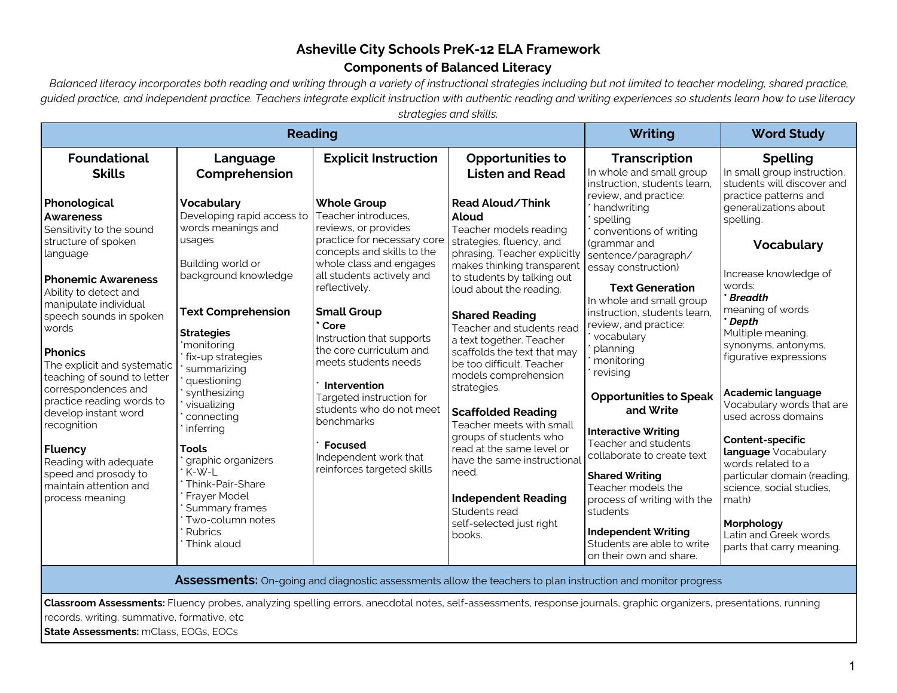# **Asheville City Schools PreK-12 ELA Framework Components of Balanced Literacy**

 *Balanced literacy incorporates both reading and writing through a variety of instructional strategies including but not limited to teacher modeling, shared practice, guided practice, and independent practice. Teachers integrate explicit instruction with authentic reading and writing experiences so students learn how to use literacy strategies and skills.*

| un alugrus anna sinilis<br><b>Reading</b>                                                                                                                                                                                                                                                                                                                                                                                                                                                                     |                                                                                                                                                                                                                                                                                                                                                                                                                                                               |                                                                                                                                                                                                                                                                                                                                                                                                                                                                                      |                                                                                                                                                                                                                                                                                                                                                                                                                                                                                                                                                                                                                                         | Writing                                                                                                                                                                                                                                                                                                                                                                                                                                                                                                                                                                                                                        | <b>Word Study</b>                                                                                                                                                                                                                                                                                                                                                                                                                                                                                                          |
|---------------------------------------------------------------------------------------------------------------------------------------------------------------------------------------------------------------------------------------------------------------------------------------------------------------------------------------------------------------------------------------------------------------------------------------------------------------------------------------------------------------|---------------------------------------------------------------------------------------------------------------------------------------------------------------------------------------------------------------------------------------------------------------------------------------------------------------------------------------------------------------------------------------------------------------------------------------------------------------|--------------------------------------------------------------------------------------------------------------------------------------------------------------------------------------------------------------------------------------------------------------------------------------------------------------------------------------------------------------------------------------------------------------------------------------------------------------------------------------|-----------------------------------------------------------------------------------------------------------------------------------------------------------------------------------------------------------------------------------------------------------------------------------------------------------------------------------------------------------------------------------------------------------------------------------------------------------------------------------------------------------------------------------------------------------------------------------------------------------------------------------------|--------------------------------------------------------------------------------------------------------------------------------------------------------------------------------------------------------------------------------------------------------------------------------------------------------------------------------------------------------------------------------------------------------------------------------------------------------------------------------------------------------------------------------------------------------------------------------------------------------------------------------|----------------------------------------------------------------------------------------------------------------------------------------------------------------------------------------------------------------------------------------------------------------------------------------------------------------------------------------------------------------------------------------------------------------------------------------------------------------------------------------------------------------------------|
| <b>Foundational</b><br><b>Skills</b>                                                                                                                                                                                                                                                                                                                                                                                                                                                                          | Language<br>Comprehension                                                                                                                                                                                                                                                                                                                                                                                                                                     | <b>Explicit Instruction</b>                                                                                                                                                                                                                                                                                                                                                                                                                                                          | <b>Opportunities to</b><br><b>Listen and Read</b>                                                                                                                                                                                                                                                                                                                                                                                                                                                                                                                                                                                       | <b>Transcription</b><br>In whole and small group<br>instruction, students learn,                                                                                                                                                                                                                                                                                                                                                                                                                                                                                                                                               | <b>Spelling</b><br>In small group instruction,<br>students will discover and                                                                                                                                                                                                                                                                                                                                                                                                                                               |
| Phonological<br><b>Awareness</b><br>Sensitivity to the sound<br>structure of spoken<br>language<br><b>Phonemic Awareness</b><br>Ability to detect and<br>manipulate individual<br>speech sounds in spoken<br>words<br><b>Phonics</b><br>The explicit and systematic<br>teaching of sound to letter<br>correspondences and<br>practice reading words to<br>develop instant word<br>recognition<br><b>Fluency</b><br>Reading with adequate<br>speed and prosody to<br>maintain attention and<br>process meaning | <b>Vocabulary</b><br>Developing rapid access to<br>words meanings and<br>usages<br>Building world or<br>background knowledge<br><b>Text Comprehension</b><br><b>Strategies</b><br>'monitoring<br>fix-up strategies<br>summarizing<br>questioning<br>synthesizing<br>visualizing<br>connecting<br>inferring<br><b>Tools</b><br>graphic organizers<br>K-W-L<br>Think-Pair-Share<br>Frayer Model<br>Summary frames<br>Two-column notes<br>Rubrics<br>Think aloud | <b>Whole Group</b><br>Teacher introduces,<br>reviews, or provides<br>practice for necessary core<br>concepts and skills to the<br>whole class and engages<br>all students actively and<br>reflectively.<br><b>Small Group</b><br>Core<br>Instruction that supports<br>the core curriculum and<br>meets students needs<br>Intervention<br>Targeted instruction for<br>students who do not meet<br>benchmarks<br><b>Focused</b><br>Independent work that<br>reinforces targeted skills | Read Aloud/Think<br>Aloud<br>Teacher models reading<br>strategies, fluency, and<br>phrasing. Teacher explicitly<br>makes thinking transparent<br>to students by talking out<br>loud about the reading.<br><b>Shared Reading</b><br>Teacher and students read<br>a text together. Teacher<br>scaffolds the text that may<br>be too difficult. Teacher<br>models comprehension<br>strategies.<br><b>Scaffolded Reading</b><br>Teacher meets with small<br>groups of students who<br>read at the same level or<br>have the same instructiona<br>need.<br><b>Independent Reading</b><br>Students read<br>self-selected just right<br>books. | review, and practice:<br>handwriting<br>spelling<br>conventions of writing<br>(grammar and<br>sentence/paragraph/<br>essay construction)<br><b>Text Generation</b><br>In whole and small group<br>instruction, students learn,<br>review, and practice:<br>vocabulary<br>planning<br>monitoring<br>revising<br><b>Opportunities to Speak</b><br>and Write<br><b>Interactive Writing</b><br>Teacher and students<br>collaborate to create text<br><b>Shared Writing</b><br>Teacher models the<br>process of writing with the<br>students<br><b>Independent Writing</b><br>Students are able to write<br>on their own and share. | practice patterns and<br>generalizations about<br>spelling.<br><b>Vocabulary</b><br>Increase knowledge of<br>words:<br><b>Breadth</b><br>meaning of words<br>Depth<br>Multiple meaning,<br>synonyms, antonyms,<br>figurative expressions<br>Academic language<br>Vocabulary words that are<br>used across domains<br>Content-specific<br>language Vocabulary<br>words related to a<br>particular domain (reading,<br>science, social studies,<br>math)<br>Morphology<br>Latin and Greek words<br>parts that carry meaning. |
| <b>Assessments:</b> On-going and diagnostic assessments allow the teachers to plan instruction and monitor progress                                                                                                                                                                                                                                                                                                                                                                                           |                                                                                                                                                                                                                                                                                                                                                                                                                                                               |                                                                                                                                                                                                                                                                                                                                                                                                                                                                                      |                                                                                                                                                                                                                                                                                                                                                                                                                                                                                                                                                                                                                                         |                                                                                                                                                                                                                                                                                                                                                                                                                                                                                                                                                                                                                                |                                                                                                                                                                                                                                                                                                                                                                                                                                                                                                                            |

**Classroom Assessments:** Fluency probes, analyzing spelling errors, anecdotal notes, self-assessments, response journals, graphic organizers, presentations, running records, writing, summative, formative, etc

**State Assessments:** mClass, EOGs, EOCs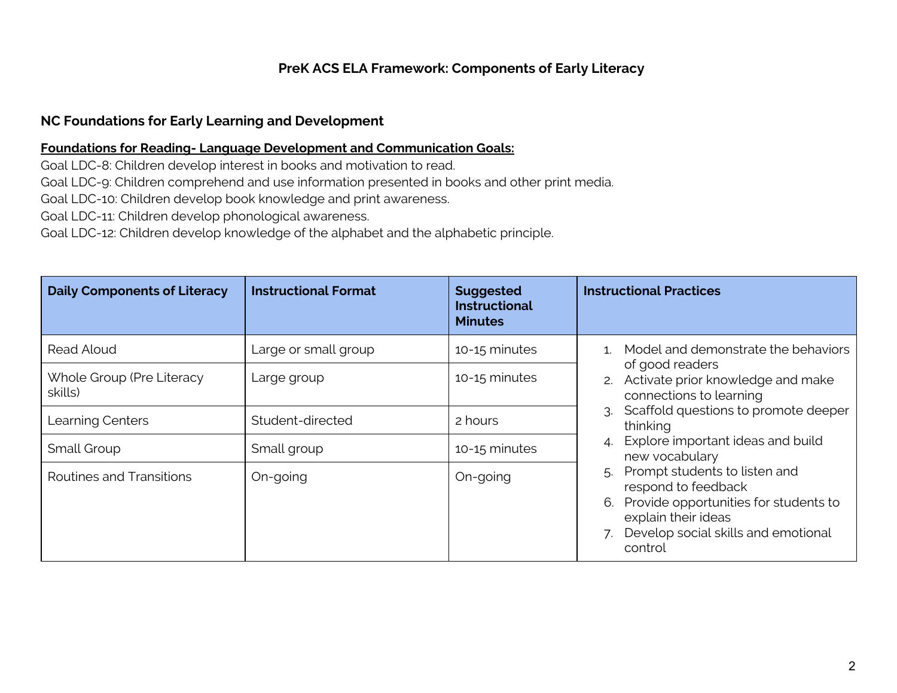## **PreK ACS ELA Framework: Components of Early Literacy**

### **NC Foundations for Early Learning and Development**

#### **Foundations for Reading- Language Development and Communication Goals:**

Goal LDC-8: Children develop interest in books and motivation to read.

Goal LDC-9: Children comprehend and use information presented in books and other print media.

Goal LDC-10: Children develop book knowledge and print awareness.

Goal LDC-11: Children develop phonological awareness.

Goal LDC-12: Children develop knowledge of the alphabet and the alphabetic principle.

| <b>Daily Components of Literacy</b>  | <b>Instructional Format</b> | <b>Suggested</b><br><b>Instructional</b><br><b>Minutes</b> | <b>Instructional Practices</b>                                                                                                                                               |
|--------------------------------------|-----------------------------|------------------------------------------------------------|------------------------------------------------------------------------------------------------------------------------------------------------------------------------------|
| Read Aloud                           | Large or small group        | 10-15 minutes                                              | Model and demonstrate the behaviors                                                                                                                                          |
| Whole Group (Pre Literacy<br>skills) | Large group                 | 10-15 minutes                                              | of good readers<br>Activate prior knowledge and make<br>2.<br>connections to learning                                                                                        |
| Learning Centers                     | Student-directed            | 2 hours                                                    | Scaffold questions to promote deeper<br>thinking                                                                                                                             |
| Small Group                          | Small group                 | 10-15 minutes                                              | Explore important ideas and build<br>new vocabulary                                                                                                                          |
| Routines and Transitions             | On-going                    | On-going                                                   | Prompt students to listen and<br>respond to feedback<br>Provide opportunities for students to<br>6.<br>explain their ideas<br>Develop social skills and emotional<br>control |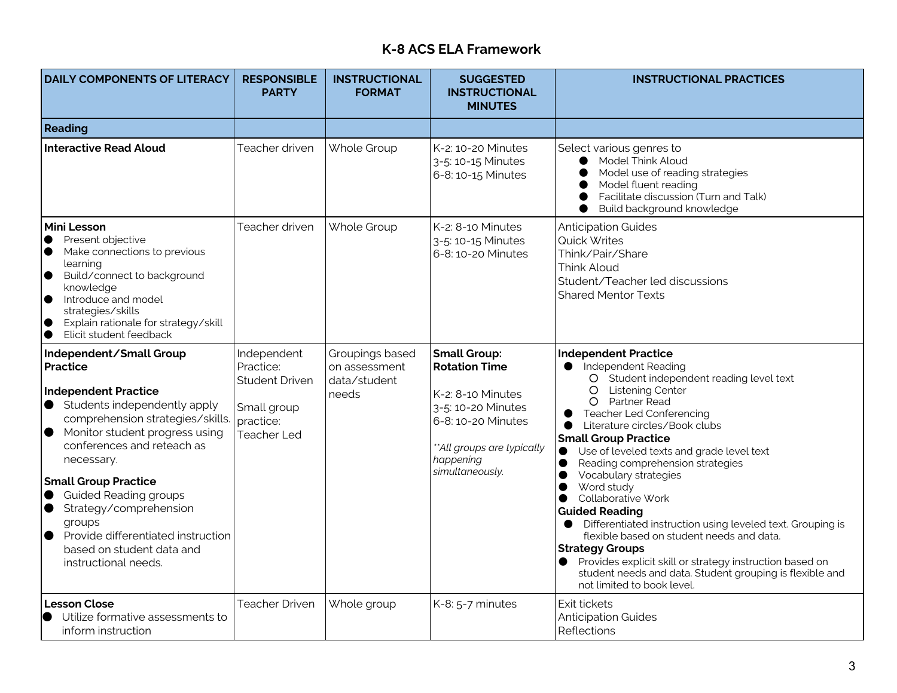# **K-8 ACS ELA Framework**

| <b>DAILY COMPONENTS OF LITERACY</b>                                                                                                                                                                                                                                                                                                                                                                                                                                        | <b>RESPONSIBLE</b><br><b>PARTY</b>                                                                  | <b>INSTRUCTIONAL</b><br><b>FORMAT</b>                     | <b>SUGGESTED</b><br><b>INSTRUCTIONAL</b><br><b>MINUTES</b>                                                                                                                | <b>INSTRUCTIONAL PRACTICES</b>                                                                                                                                                                                                                                                                                                                                                                                                                                                                                                                                                                                                                                                                                                                                                                 |
|----------------------------------------------------------------------------------------------------------------------------------------------------------------------------------------------------------------------------------------------------------------------------------------------------------------------------------------------------------------------------------------------------------------------------------------------------------------------------|-----------------------------------------------------------------------------------------------------|-----------------------------------------------------------|---------------------------------------------------------------------------------------------------------------------------------------------------------------------------|------------------------------------------------------------------------------------------------------------------------------------------------------------------------------------------------------------------------------------------------------------------------------------------------------------------------------------------------------------------------------------------------------------------------------------------------------------------------------------------------------------------------------------------------------------------------------------------------------------------------------------------------------------------------------------------------------------------------------------------------------------------------------------------------|
| Reading                                                                                                                                                                                                                                                                                                                                                                                                                                                                    |                                                                                                     |                                                           |                                                                                                                                                                           |                                                                                                                                                                                                                                                                                                                                                                                                                                                                                                                                                                                                                                                                                                                                                                                                |
| <b>Interactive Read Aloud</b>                                                                                                                                                                                                                                                                                                                                                                                                                                              | Teacher driven                                                                                      | Whole Group                                               | K-2: 10-20 Minutes<br>3-5: 10-15 Minutes<br>6-8: 10-15 Minutes                                                                                                            | Select various genres to<br>Model Think Aloud<br>Model use of reading strategies<br>Model fluent reading<br>Facilitate discussion (Turn and Talk)<br>Build background knowledge                                                                                                                                                                                                                                                                                                                                                                                                                                                                                                                                                                                                                |
| Mini Lesson<br>Present objective<br>$\bullet$<br>Make connections to previous<br>$\bullet$<br>learning<br>Build/connect to background<br>$\bullet$<br>knowledge<br>Introduce and model<br>$\bullet$<br>strategies/skills<br>Explain rationale for strategy/skill<br>$\bullet$<br>Elicit student feedback<br>$\bullet$                                                                                                                                                      | Teacher driven                                                                                      | Whole Group                                               | $K-2$ : 8-10 Minutes<br>3-5: 10-15 Minutes<br>6-8: 10-20 Minutes                                                                                                          | <b>Anticipation Guides</b><br>Quick Writes<br>Think/Pair/Share<br>Think Aloud<br>Student/Teacher led discussions<br><b>Shared Mentor Texts</b>                                                                                                                                                                                                                                                                                                                                                                                                                                                                                                                                                                                                                                                 |
| Independent/Small Group<br><b>Practice</b><br><b>Independent Practice</b><br>$\bullet$ Students independently apply<br>comprehension strategies/skills.<br>Monitor student progress using<br>$\bullet$<br>conferences and reteach as<br>necessary.<br><b>Small Group Practice</b><br><b>Guided Reading groups</b><br>$\bullet$<br>Strategy/comprehension<br>groups<br>Provide differentiated instruction<br>$\bullet$<br>based on student data and<br>instructional needs. | Independent<br>Practice:<br><b>Student Driven</b><br>Small group<br>practice:<br><b>Teacher Led</b> | Groupings based<br>on assessment<br>data/student<br>needs | <b>Small Group:</b><br><b>Rotation Time</b><br>K-2: 8-10 Minutes<br>3-5: 10-20 Minutes<br>6-8:10-20 Minutes<br>**All groups are typically<br>happening<br>simultaneously. | <b>Independent Practice</b><br>Independent Reading<br>$\bullet$<br>O Student independent reading level text<br><b>Listening Center</b><br>$\circ$<br>O Partner Read<br><b>Teacher Led Conferencing</b><br>Literature circles/Book clubs<br>$\bullet$<br><b>Small Group Practice</b><br>Use of leveled texts and grade level text<br>$\bullet$<br>Reading comprehension strategies<br>Vocabulary strategies<br>Word study<br>$\bullet$<br>Collaborative Work<br>$\bullet$<br><b>Guided Reading</b><br>• Differentiated instruction using leveled text. Grouping is<br>flexible based on student needs and data.<br><b>Strategy Groups</b><br>Provides explicit skill or strategy instruction based on<br>student needs and data. Student grouping is flexible and<br>not limited to book level. |
| <b>Lesson Close</b><br>Utilize formative assessments to<br>$\bullet$<br>inform instruction                                                                                                                                                                                                                                                                                                                                                                                 | <b>Teacher Driven</b>                                                                               | Whole group                                               | K-8: 5-7 minutes                                                                                                                                                          | Exit tickets<br><b>Anticipation Guides</b><br>Reflections                                                                                                                                                                                                                                                                                                                                                                                                                                                                                                                                                                                                                                                                                                                                      |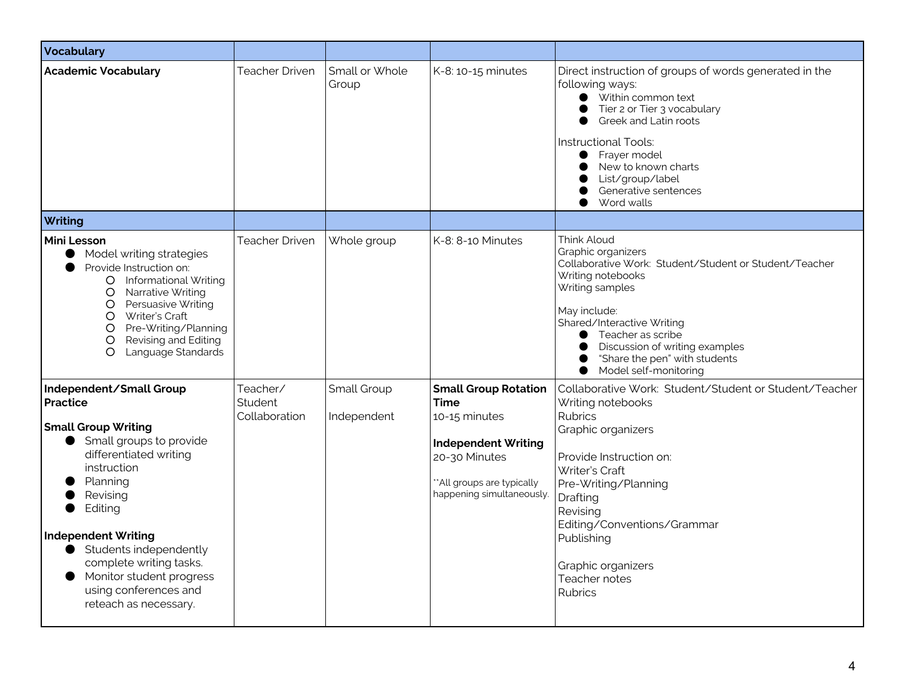| <b>Vocabulary</b>                                                                                                                                                                                                                                                                                                                                             |                                      |                            |                                                                                                                                                                       |                                                                                                                                                                                                                                                                                                                           |
|---------------------------------------------------------------------------------------------------------------------------------------------------------------------------------------------------------------------------------------------------------------------------------------------------------------------------------------------------------------|--------------------------------------|----------------------------|-----------------------------------------------------------------------------------------------------------------------------------------------------------------------|---------------------------------------------------------------------------------------------------------------------------------------------------------------------------------------------------------------------------------------------------------------------------------------------------------------------------|
| <b>Academic Vocabulary</b>                                                                                                                                                                                                                                                                                                                                    | <b>Teacher Driven</b>                | Small or Whole<br>Group    | K-8: 10-15 minutes                                                                                                                                                    | Direct instruction of groups of words generated in the<br>following ways:<br>● Within common text<br>Tier 2 or Tier 3 vocabulary<br>Greek and Latin roots<br>$\bullet$<br>Instructional Tools:<br>Frayer model<br>$\bullet$<br>New to known charts<br>$\bullet$<br>List/group/label<br>Generative sentences<br>Word walls |
| Writing                                                                                                                                                                                                                                                                                                                                                       |                                      |                            |                                                                                                                                                                       |                                                                                                                                                                                                                                                                                                                           |
| <b>Mini Lesson</b><br>Model writing strategies<br>$\bullet$<br>Provide Instruction on:<br>O Informational Writing<br>O Narrative Writing<br>O Persuasive Writing<br>O Writer's Craft<br>Pre-Writing/Planning<br>O<br>Revising and Editing<br>$\circ$<br>Language Standards<br>O                                                                               | <b>Teacher Driven</b>                | Whole group                | K-8: 8-10 Minutes                                                                                                                                                     | Think Aloud<br>Graphic organizers<br>Collaborative Work: Student/Student or Student/Teacher<br>Writing notebooks<br>Writing samples<br>May include:<br>Shared/Interactive Writing<br>Teacher as scribe<br>Discussion of writing examples<br>"Share the pen" with students<br>Model self-monitoring                        |
| Independent/Small Group<br><b>Practice</b><br><b>Small Group Writing</b><br>Small groups to provide<br>differentiated writing<br>instruction<br>Planning<br>Revising<br>Editing<br><b>Independent Writing</b><br>Students independently<br>complete writing tasks.<br>Monitor student progress<br>$\bullet$<br>using conferences and<br>reteach as necessary. | Teacher/<br>Student<br>Collaboration | Small Group<br>Independent | <b>Small Group Rotation</b><br><b>Time</b><br>10-15 minutes<br><b>Independent Writing</b><br>20-30 Minutes<br>**All groups are typically<br>happening simultaneously. | Collaborative Work: Student/Student or Student/Teacher<br>Writing notebooks<br><b>Rubrics</b><br>Graphic organizers<br>Provide Instruction on:<br>Writer's Craft<br>Pre-Writing/Planning<br>Drafting<br>Revising<br>Editing/Conventions/Grammar<br>Publishing<br>Graphic organizers<br>Teacher notes<br>Rubrics           |